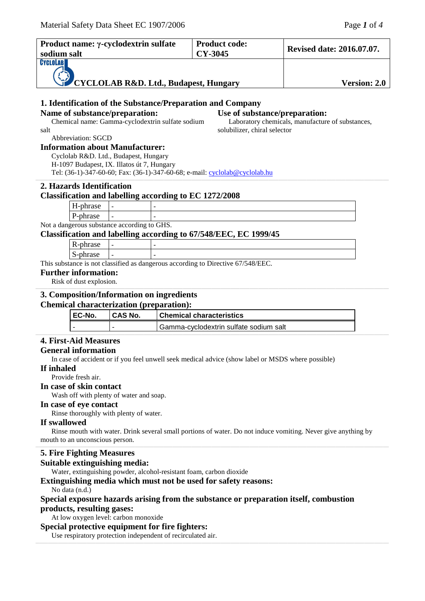| Product name: γ-cyclodextrin sulfate                                                              |                                                                 |                                                  |  | <b>Product code:</b>                                                             | <b>Revised date: 2016.07.07.</b>                 |  |  |
|---------------------------------------------------------------------------------------------------|-----------------------------------------------------------------|--------------------------------------------------|--|----------------------------------------------------------------------------------|--------------------------------------------------|--|--|
| sodium salt                                                                                       |                                                                 |                                                  |  | CY-3045                                                                          |                                                  |  |  |
| CYCLOLAB                                                                                          |                                                                 |                                                  |  |                                                                                  |                                                  |  |  |
|                                                                                                   |                                                                 |                                                  |  |                                                                                  |                                                  |  |  |
|                                                                                                   |                                                                 |                                                  |  | <b>CYCLOLAB R&amp;D. Ltd., Budapest, Hungary</b>                                 | Version: 2.0                                     |  |  |
|                                                                                                   |                                                                 |                                                  |  |                                                                                  |                                                  |  |  |
|                                                                                                   |                                                                 |                                                  |  | 1. Identification of the Substance/Preparation and Company                       |                                                  |  |  |
|                                                                                                   | Name of substance/preparation:<br>Use of substance/preparation: |                                                  |  |                                                                                  |                                                  |  |  |
|                                                                                                   |                                                                 | Chemical name: Gamma-cyclodextrin sulfate sodium |  |                                                                                  | Laboratory chemicals, manufacture of substances, |  |  |
| salt                                                                                              | Abbreviation: SGCD                                              |                                                  |  | solubilizer, chiral selector                                                     |                                                  |  |  |
|                                                                                                   |                                                                 | <b>Information about Manufacturer:</b>           |  |                                                                                  |                                                  |  |  |
|                                                                                                   |                                                                 | Cyclolab R&D. Ltd., Budapest, Hungary            |  |                                                                                  |                                                  |  |  |
|                                                                                                   |                                                                 | H-1097 Budapest, IX. Illatos út 7, Hungary       |  |                                                                                  |                                                  |  |  |
|                                                                                                   |                                                                 |                                                  |  | Tel: (36-1)-347-60-60; Fax: (36-1)-347-60-68; e-mail: cyclolab@cyclolab.hu       |                                                  |  |  |
|                                                                                                   | 2. Hazards Identification                                       |                                                  |  |                                                                                  |                                                  |  |  |
|                                                                                                   |                                                                 |                                                  |  | <b>Classification and labelling according to EC 1272/2008</b>                    |                                                  |  |  |
|                                                                                                   |                                                                 |                                                  |  |                                                                                  |                                                  |  |  |
|                                                                                                   | H-phrase                                                        |                                                  |  |                                                                                  |                                                  |  |  |
|                                                                                                   | P-phrase                                                        | Not a dangerous substance according to GHS.      |  |                                                                                  |                                                  |  |  |
|                                                                                                   |                                                                 |                                                  |  | Classification and labelling according to 67/548/EEC, EC 1999/45                 |                                                  |  |  |
|                                                                                                   | R-phrase                                                        |                                                  |  |                                                                                  |                                                  |  |  |
|                                                                                                   | S-phrase                                                        |                                                  |  |                                                                                  |                                                  |  |  |
|                                                                                                   |                                                                 |                                                  |  | This substance is not classified as dangerous according to Directive 67/548/EEC. |                                                  |  |  |
|                                                                                                   | <b>Further information:</b>                                     |                                                  |  |                                                                                  |                                                  |  |  |
|                                                                                                   | Risk of dust explosion.                                         |                                                  |  |                                                                                  |                                                  |  |  |
|                                                                                                   |                                                                 |                                                  |  |                                                                                  |                                                  |  |  |
|                                                                                                   |                                                                 | 3. Composition/Information on ingredients        |  |                                                                                  |                                                  |  |  |
|                                                                                                   |                                                                 | <b>Chemical characterization (preparation):</b>  |  |                                                                                  |                                                  |  |  |
|                                                                                                   | EC-No.                                                          | <b>CAS No.</b>                                   |  | <b>Chemical characteristics</b>                                                  |                                                  |  |  |
|                                                                                                   |                                                                 |                                                  |  | Gamma-cyclodextrin sulfate sodium salt                                           |                                                  |  |  |
|                                                                                                   | <b>4. First-Aid Measures</b>                                    |                                                  |  |                                                                                  |                                                  |  |  |
|                                                                                                   | <b>General information</b>                                      |                                                  |  |                                                                                  |                                                  |  |  |
| In case of accident or if you feel unwell seek medical advice (show label or MSDS where possible) |                                                                 |                                                  |  |                                                                                  |                                                  |  |  |
| If inhaled                                                                                        |                                                                 |                                                  |  |                                                                                  |                                                  |  |  |
| Provide fresh air.                                                                                |                                                                 |                                                  |  |                                                                                  |                                                  |  |  |
| In case of skin contact                                                                           |                                                                 |                                                  |  |                                                                                  |                                                  |  |  |
| Wash off with plenty of water and soap.                                                           |                                                                 |                                                  |  |                                                                                  |                                                  |  |  |
| In case of eye contact                                                                            |                                                                 |                                                  |  |                                                                                  |                                                  |  |  |

Rinse thoroughly with plenty of water.

#### **If swallowed**

Rinse mouth with water. Drink several small portions of water. Do not induce vomiting. Never give anything by mouth to an unconscious person.

,一个人的人都是不是,我们的人都是不是,我们的人都是不是,我们的人都是不是,我们的人都是不是,我们的人都是不是,我们的人都是不是,我们的人都是不是,我们的人都是不

\_\_\_\_\_\_\_\_\_\_\_\_\_\_\_\_\_\_\_\_\_\_\_\_\_\_\_\_\_\_\_\_\_\_\_\_\_\_\_\_\_\_\_\_\_\_\_\_\_\_\_\_\_\_\_\_\_\_\_\_\_\_\_\_\_\_\_\_\_\_\_\_\_\_\_\_\_\_\_\_\_\_\_\_\_\_\_\_\_\_\_\_\_\_\_\_\_\_\_\_\_\_\_\_\_\_\_\_\_\_\_\_\_\_\_\_\_\_\_\_\_\_\_\_\_\_\_\_\_\_\_\_\_\_\_\_\_\_\_\_\_\_\_\_\_\_\_\_\_\_\_\_\_\_\_\_\_\_\_\_\_\_\_\_\_\_\_\_\_\_\_\_\_\_\_\_\_\_\_\_\_\_\_\_\_\_\_\_\_\_\_\_\_\_\_\_\_\_\_\_\_\_\_\_\_\_\_\_\_\_\_\_\_\_\_\_\_\_\_\_\_\_\_\_\_\_\_\_\_\_\_\_\_\_\_\_\_\_\_\_\_\_\_\_\_\_\_\_\_\_\_\_\_\_\_\_\_\_\_\_\_\_\_\_\_\_\_\_\_\_\_\_\_\_\_\_\_\_\_\_\_\_\_\_\_\_\_\_\_\_\_\_\_\_\_\_\_\_\_\_\_\_\_\_\_\_\_\_\_\_\_\_\_\_\_\_\_

## **5. Fire Fighting Measures**

#### **Suitable extinguishing media:**

Water, extinguishing powder, alcohol-resistant foam, carbon dioxide

## **Extinguishing media which must not be used for safety reasons:**

No data (n.d.)

## **Special exposure hazards arising from the substance or preparation itself, combustion products, resulting gases:**

At low oxygen level: carbon monoxide

#### **Special protective equipment for fire fighters:**

Use respiratory protection independent of recirculated air.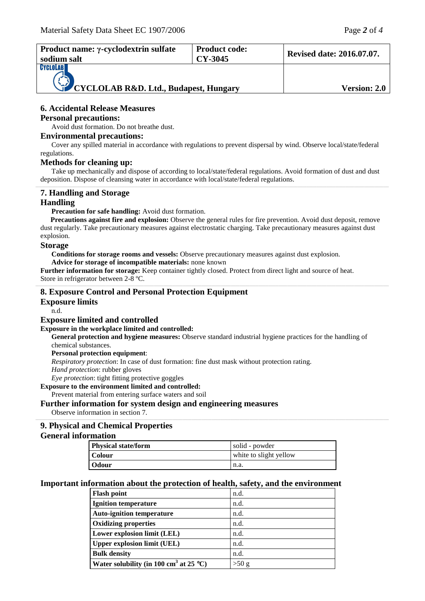| Product name: γ-cyclodextrin sulfate<br>sodium salt      | <b>Product code:</b><br>CY-3045 | <b>Revised date: 2016.07.07.</b> |
|----------------------------------------------------------|---------------------------------|----------------------------------|
| <b>CYCLOLAB</b><br>CYCLOLAB R&D. Ltd., Budapest, Hungary | <b>Version: 2.0</b>             |                                  |

## **6. Accidental Release Measures**

#### **Personal precautions:**

Avoid dust formation. Do not breathe dust.

## **Environmental precautions:**

Cover any spilled material in accordance with regulations to prevent dispersal by wind. Observe local/state/federal regulations.

#### **Methods for cleaning up:**

Take up mechanically and dispose of according to local/state/federal regulations. Avoid formation of dust and dust deposition. Dispose of cleansing water in accordance with local/state/federal regulations. ,一个人的人都是不是,我们的人都是不是,我们的人都是不是,我们的人都是不是,我们的人都是不是,我们的人都是不是,我们的人都是不是,我们的人都是不是,我们的人都是不

## **7. Handling and Storage**

## **Handling**

Precaution for safe handling: Avoid dust formation.

**Precautions against fire and explosion:** Observe the general rules for fire prevention. Avoid dust deposit, remove dust regularly. Take precautionary measures against electrostatic charging. Take precautionary measures against dust explosion.

,一个人的人都是不是,我们的人都是不是,我们的人都是不是,我们的人都是不是,我们的人都是不是,我们的人都是不是,我们的人都是不是,我们的人都是不是,我们的人都是不

## **Storage**

**Conditions for storage rooms and vessels:** Observe precautionary measures against dust explosion.

**Advice for storage of incompatible materials:** none known

**Further information for storage:** Keep container tightly closed. Protect from direct light and source of heat. Store in refrigerator between 2-8 ºC.

## **8. Exposure Control and Personal Protection Equipment**

#### **Exposure limits**

n.d.

#### **Exposure limited and controlled**

#### **Exposure in the workplace limited and controlled:**

**General protection and hygiene measures:** Observe standard industrial hygiene practices for the handling of chemical substances.

#### **Personal protection equipment**:

*Respiratory protection*: In case of dust formation: fine dust mask without protection rating.

*Hand protection*: rubber gloves

*Eye protection*: tight fitting protective goggles

**Exposure to the environment limited and controlled:**

Prevent material from entering surface waters and soil

## **Further information for system design and engineering measures**

Observe information in section 7.

## **9. Physical and Chemical Properties**

## **General information**

| <b>Physical state/form</b> | solid - powder         |  |
|----------------------------|------------------------|--|
| <b>Colour</b>              | white to slight yellow |  |
| <b>Odour</b>               | n.a.                   |  |

,一个人的人都是不是,我们的人都是不是,我们的人都是不是,我们的人都是不是,我们的人都是不是,我们的人都是不是,我们的人都是不是,我们的人都是不是,我们的人都是不

#### **Important information about the protection of health, safety, and the environment**

| <b>Flash point</b>                                 | n.d.  |
|----------------------------------------------------|-------|
| <b>Ignition temperature</b>                        | n.d.  |
| <b>Auto-ignition temperature</b>                   | n.d.  |
| <b>Oxidizing properties</b>                        | n.d.  |
| Lower explosion limit (LEL)                        | n.d.  |
| <b>Upper explosion limit (UEL)</b>                 | n.d.  |
| <b>Bulk density</b>                                | n.d.  |
| Water solubility (in 100 cm <sup>3</sup> at 25 °C) | >50 g |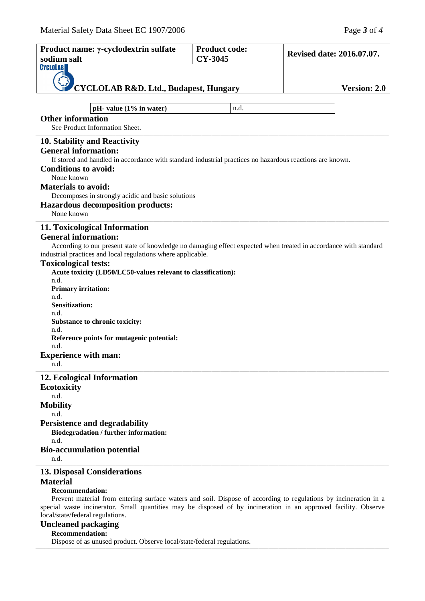| Product name: γ-cyclodextrin sulfate                                                                                                                                                                                                                                                                                                                                                                                                                                                                                           | <b>Product code:</b> |                                  |  |  |  |
|--------------------------------------------------------------------------------------------------------------------------------------------------------------------------------------------------------------------------------------------------------------------------------------------------------------------------------------------------------------------------------------------------------------------------------------------------------------------------------------------------------------------------------|----------------------|----------------------------------|--|--|--|
| sodium salt                                                                                                                                                                                                                                                                                                                                                                                                                                                                                                                    | CY-3045              | <b>Revised date: 2016.07.07.</b> |  |  |  |
| CYCLOLAB<br><b>CYCLOLAB R&amp;D. Ltd., Budapest, Hungary</b>                                                                                                                                                                                                                                                                                                                                                                                                                                                                   |                      | <b>Version: 2.0</b>              |  |  |  |
|                                                                                                                                                                                                                                                                                                                                                                                                                                                                                                                                |                      |                                  |  |  |  |
| pH- value $(1\%$ in water)<br>n.d.<br><b>Other information</b><br>See Product Information Sheet.                                                                                                                                                                                                                                                                                                                                                                                                                               |                      |                                  |  |  |  |
| 10. Stability and Reactivity<br><b>General information:</b><br>If stored and handled in accordance with standard industrial practices no hazardous reactions are known.<br><b>Conditions to avoid:</b><br>None known<br><b>Materials to avoid:</b><br>Decomposes in strongly acidic and basic solutions<br><b>Hazardous decomposition products:</b>                                                                                                                                                                            |                      |                                  |  |  |  |
| None known                                                                                                                                                                                                                                                                                                                                                                                                                                                                                                                     |                      |                                  |  |  |  |
| 11. Toxicological Information<br><b>General information:</b><br>According to our present state of knowledge no damaging effect expected when treated in accordance with standard<br>industrial practices and local regulations where applicable.<br><b>Toxicological tests:</b><br>Acute toxicity (LD50/LC50-values relevant to classification):<br>n.d.<br><b>Primary irritation:</b><br>n.d.<br><b>Sensitization:</b><br>n.d.<br>Substance to chronic toxicity:<br>n.d.<br>Reference points for mutagenic potential:<br>n.d. |                      |                                  |  |  |  |
| <b>Experience with man:</b><br>n.d.                                                                                                                                                                                                                                                                                                                                                                                                                                                                                            |                      |                                  |  |  |  |
| 12. Ecological Information<br><b>Ecotoxicity</b><br>n.d.<br><b>Mobility</b><br>n.d.<br><b>Persistence and degradability</b><br>Biodegradation / further information:<br>n.d.<br><b>Bio-accumulation potential</b><br>n.d.                                                                                                                                                                                                                                                                                                      |                      |                                  |  |  |  |
| <b>13. Disposal Considerations</b>                                                                                                                                                                                                                                                                                                                                                                                                                                                                                             |                      |                                  |  |  |  |
| <b>Material</b><br><b>Recommendation:</b><br>Prevent material from entering surface waters and soil. Dispose of according to regulations by incineration in a<br>special waste incinerator. Small quantities may be disposed of by incineration in an approved facility. Observe<br>local/state/federal regulations.<br><b>Uncleaned packaging</b>                                                                                                                                                                             |                      |                                  |  |  |  |

,一个人的人都是不是,我们的人都是不是,我们的人都是不是,我们的人都是不是,我们的人都是不是,我们的人都是不是,我们的人都是不是,我们的人都是不是,我们的人都是不

# **Recommendation:**

Dispose of as unused product. Observe local/state/federal regulations.